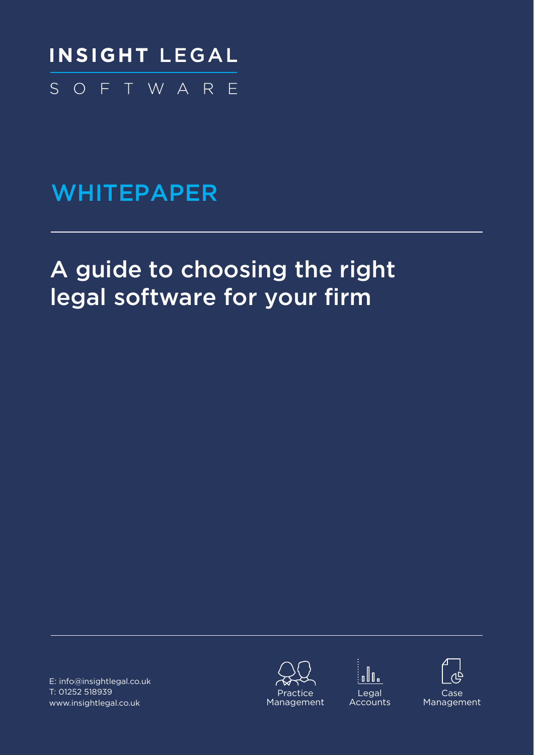

# **WHITEPAPER**

# A guide to choosing the right legal software for your firm

E: info@insightlegal.co.uk T: 01252 518939 [www.insightlegal.co.uk](https://www.insightlegal.co.uk/)







**Legal Accounts** 

Case Management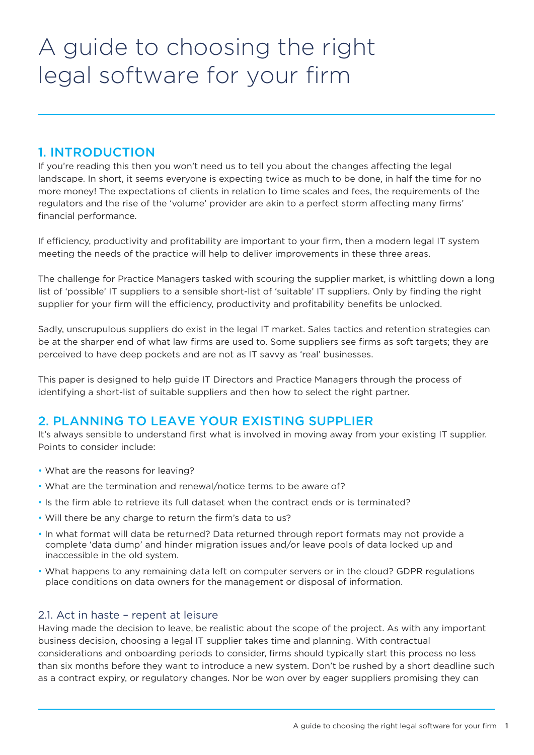# A guide to choosing the right legal software for your firm

# 1. INTRODUCTION

If you're reading this then you won't need us to tell you about the changes affecting the legal landscape. In short, it seems everyone is expecting twice as much to be done, in half the time for no more money! The expectations of clients in relation to time scales and fees, the requirements of the regulators and the rise of the 'volume' provider are akin to a perfect storm affecting many firms' financial performance.

If efficiency, productivity and profitability are important to your firm, then a modern legal IT system meeting the needs of the practice will help to deliver improvements in these three areas.

The challenge for Practice Managers tasked with scouring the supplier market, is whittling down a long list of 'possible' IT suppliers to a sensible short-list of 'suitable' IT suppliers. Only by finding the right supplier for your firm will the efficiency, productivity and profitability benefits be unlocked.

Sadly, unscrupulous suppliers do exist in the legal IT market. Sales tactics and retention strategies can be at the sharper end of what law firms are used to. Some suppliers see firms as soft targets; they are perceived to have deep pockets and are not as IT savvy as 'real' businesses.

This paper is designed to help guide IT Directors and Practice Managers through the process of identifying a short-list of suitable suppliers and then how to select the right partner.

# 2. PLANNING TO LEAVE YOUR EXISTING SUPPLIER

It's always sensible to understand first what is involved in moving away from your existing IT supplier. Points to consider include:

- What are the reasons for leaving?
- What are the termination and renewal/notice terms to be aware of?
- Is the firm able to retrieve its full dataset when the contract ends or is terminated?
- Will there be any charge to return the firm's data to us?
- In what format will data be returned? Data returned through report formats may not provide a complete 'data dump' and hinder migration issues and/or leave pools of data locked up and inaccessible in the old system.
- What happens to any remaining data left on computer servers or in the cloud? GDPR regulations place conditions on data owners for the management or disposal of information.

### 2.1. Act in haste – repent at leisure

Having made the decision to leave, be realistic about the scope of the project. As with any important business decision, choosing a legal IT supplier takes time and planning. With contractual considerations and onboarding periods to consider, firms should typically start this process no less than six months before they want to introduce a new system. Don't be rushed by a short deadline such as a contract expiry, or regulatory changes. Nor be won over by eager suppliers promising they can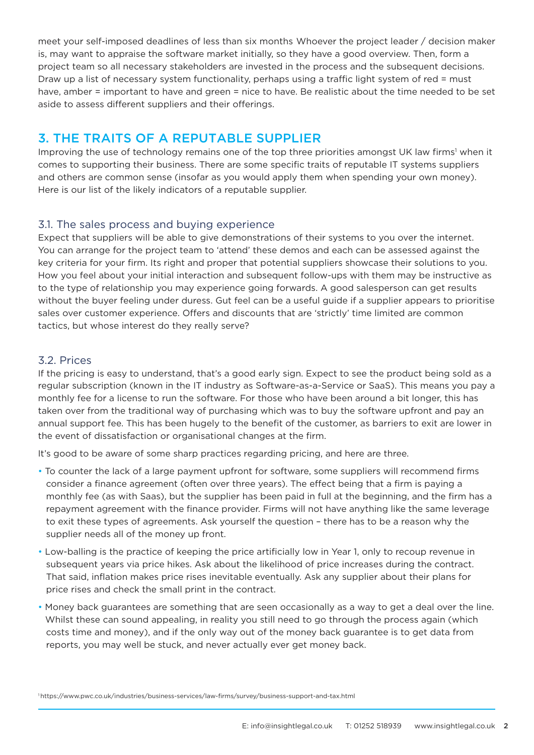meet your self-imposed deadlines of less than six months Whoever the project leader / decision maker is, may want to appraise the software market initially, so they have a good overview. Then, form a project team so all necessary stakeholders are invested in the process and the subsequent decisions. Draw up a list of necessary system functionality, perhaps using a traffic light system of red = must have, amber = important to have and green = nice to have. Be realistic about the time needed to be set aside to assess different suppliers and their offerings.

# 3. THE TRAITS OF A REPUTABLE SUPPLIER

Improving the use of technology remains one of the top three priorities amongst UK law firms<sup>1</sup> when it comes to supporting their business. There are some specific traits of reputable IT systems suppliers and others are common sense (insofar as you would apply them when spending your own money). Here is our list of the likely indicators of a reputable supplier.

## 3.1. The sales process and buying experience

Expect that suppliers will be able to give demonstrations of their systems to you over the internet. You can arrange for the project team to 'attend' these demos and each can be assessed against the key criteria for your firm. Its right and proper that potential suppliers showcase their solutions to you. How you feel about your initial interaction and subsequent follow-ups with them may be instructive as to the type of relationship you may experience going forwards. A good salesperson can get results without the buyer feeling under duress. Gut feel can be a useful guide if a supplier appears to prioritise sales over customer experience. Offers and discounts that are 'strictly' time limited are common tactics, but whose interest do they really serve?

### 3.2. Prices

If the pricing is easy to understand, that's a good early sign. Expect to see the product being sold as a regular subscription (known in the IT industry as Software-as-a-Service or SaaS). This means you pay a monthly fee for a license to run the software. For those who have been around a bit longer, this has taken over from the traditional way of purchasing which was to buy the software upfront and pay an annual support fee. This has been hugely to the benefit of the customer, as barriers to exit are lower in the event of dissatisfaction or organisational changes at the firm.

It's good to be aware of some sharp practices regarding pricing, and here are three.

- To counter the lack of a large payment upfront for software, some suppliers will recommend firms consider a finance agreement (often over three years). The effect being that a firm is paying a monthly fee (as with Saas), but the supplier has been paid in full at the beginning, and the firm has a repayment agreement with the finance provider. Firms will not have anything like the same leverage to exit these types of agreements. Ask yourself the question – there has to be a reason why the supplier needs all of the money up front.
- Low-balling is the practice of keeping the price artificially low in Year 1, only to recoup revenue in subsequent years via price hikes. Ask about the likelihood of price increases during the contract. That said, inflation makes price rises inevitable eventually. Ask any supplier about their plans for price rises and check the small print in the contract.
- Money back guarantees are something that are seen occasionally as a way to get a deal over the line. Whilst these can sound appealing, in reality you still need to go through the process again (which costs time and money), and if the only way out of the money back guarantee is to get data from reports, you may well be stuck, and never actually ever get money back.

[<sup>1</sup> https://www.pwc.co.uk/industries/business-services/law-firms/survey/business-support-and-tax.html](https://www.pwc.co.uk/industries/business-services/law-firms/survey/business-support-and-tax.html)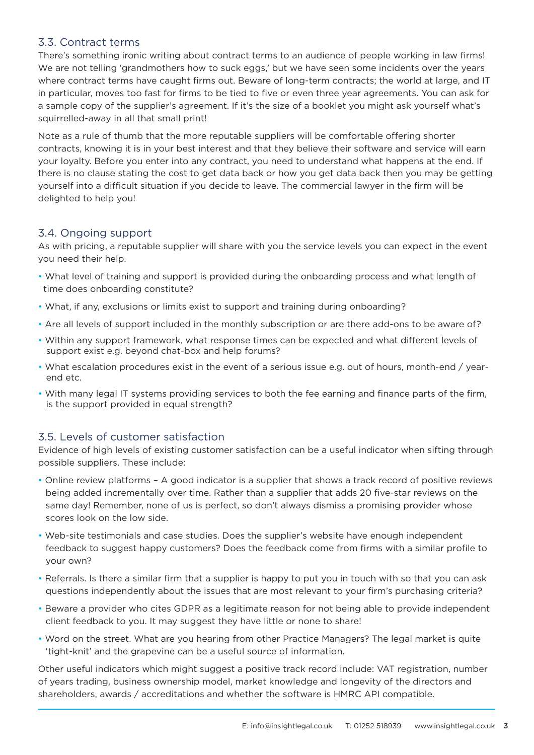## 3.3. Contract terms

There's something ironic writing about contract terms to an audience of people working in law firms! We are not telling 'grandmothers how to suck eggs,' but we have seen some incidents over the years where contract terms have caught firms out. Beware of long-term contracts; the world at large, and IT in particular, moves too fast for firms to be tied to five or even three year agreements. You can ask for a sample copy of the supplier's agreement. If it's the size of a booklet you might ask yourself what's squirrelled-away in all that small print!

Note as a rule of thumb that the more reputable suppliers will be comfortable offering shorter contracts, knowing it is in your best interest and that they believe their software and service will earn your loyalty. Before you enter into any contract, you need to understand what happens at the end. If there is no clause stating the cost to get data back or how you get data back then you may be getting yourself into a difficult situation if you decide to leave. The commercial lawyer in the firm will be delighted to help you!

### 3.4. Ongoing support

As with pricing, a reputable supplier will share with you the service levels you can expect in the event you need their help.

- What level of training and support is provided during the onboarding process and what length of time does onboarding constitute?
- What, if any, exclusions or limits exist to support and training during onboarding?
- Are all levels of support included in the monthly subscription or are there add-ons to be aware of?
- Within any support framework, what response times can be expected and what different levels of support exist e.g. beyond chat-box and help forums?
- What escalation procedures exist in the event of a serious issue e.g. out of hours, month-end / yearend etc.
- With many legal IT systems providing services to both the fee earning and finance parts of the firm, is the support provided in equal strength?

### 3.5. Levels of customer satisfaction

Evidence of high levels of existing customer satisfaction can be a useful indicator when sifting through possible suppliers. These include:

- Online review platforms A good indicator is a supplier that shows a track record of positive reviews being added incrementally over time. Rather than a supplier that adds 20 five-star reviews on the same day! Remember, none of us is perfect, so don't always dismiss a promising provider whose scores look on the low side.
- Web-site testimonials and case studies. Does the supplier's website have enough independent feedback to suggest happy customers? Does the feedback come from firms with a similar profile to your own?
- Referrals. Is there a similar firm that a supplier is happy to put you in touch with so that you can ask questions independently about the issues that are most relevant to your firm's purchasing criteria?
- Beware a provider who cites GDPR as a legitimate reason for not being able to provide independent client feedback to you. It may suggest they have little or none to share!
- Word on the street. What are you hearing from other Practice Managers? The legal market is quite 'tight-knit' and the grapevine can be a useful source of information.

Other useful indicators which might suggest a positive track record include: VAT registration, number of years trading, business ownership model, market knowledge and longevity of the directors and shareholders, awards / accreditations and whether the software is HMRC API compatible.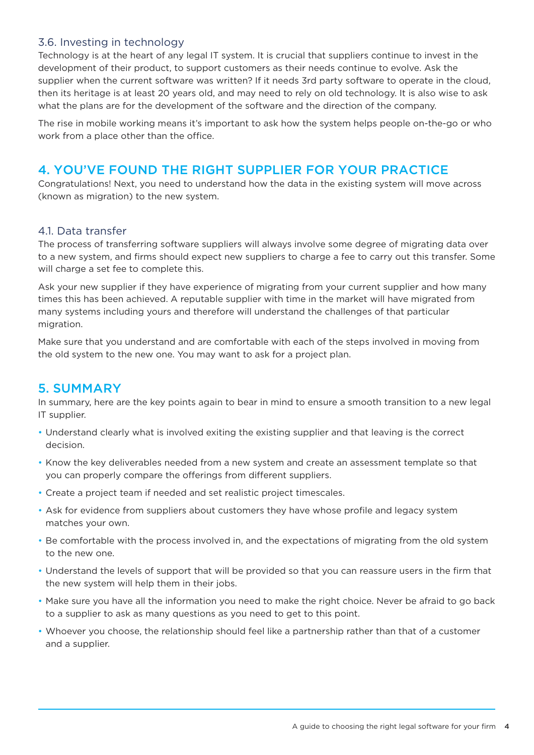## 3.6. Investing in technology

Technology is at the heart of any legal IT system. It is crucial that suppliers continue to invest in the development of their product, to support customers as their needs continue to evolve. Ask the supplier when the current software was written? If it needs 3rd party software to operate in the cloud, then its heritage is at least 20 years old, and may need to rely on old technology. It is also wise to ask what the plans are for the development of the software and the direction of the company.

The rise in mobile working means it's important to ask how the system helps people on-the-go or who work from a place other than the office.

# 4. YOU'VE FOUND THE RIGHT SUPPLIER FOR YOUR PRACTICE

Congratulations! Next, you need to understand how the data in the existing system will move across (known as migration) to the new system.

### 4.1. Data transfer

The process of transferring software suppliers will always involve some degree of migrating data over to a new system, and firms should expect new suppliers to charge a fee to carry out this transfer. Some will charge a set fee to complete this.

Ask your new supplier if they have experience of migrating from your current supplier and how many times this has been achieved. A reputable supplier with time in the market will have migrated from many systems including yours and therefore will understand the challenges of that particular migration.

Make sure that you understand and are comfortable with each of the steps involved in moving from the old system to the new one. You may want to ask for a project plan.

# 5. SUMMARY

In summary, here are the key points again to bear in mind to ensure a smooth transition to a new legal IT supplier.

- Understand clearly what is involved exiting the existing supplier and that leaving is the correct decision.
- Know the key deliverables needed from a new system and create an assessment template so that you can properly compare the offerings from different suppliers.
- Create a project team if needed and set realistic project timescales.
- Ask for evidence from suppliers about customers they have whose profile and legacy system matches your own.
- Be comfortable with the process involved in, and the expectations of migrating from the old system to the new one.
- Understand the levels of support that will be provided so that you can reassure users in the firm that the new system will help them in their jobs.
- Make sure you have all the information you need to make the right choice. Never be afraid to go back to a supplier to ask as many questions as you need to get to this point.
- Whoever you choose, the relationship should feel like a partnership rather than that of a customer and a supplier.